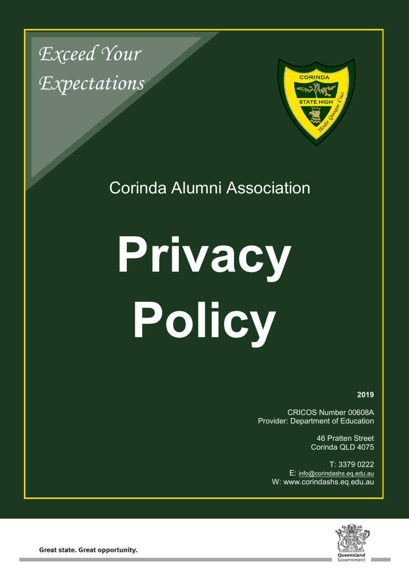*Exceed Your Expectations*



Corinda Alumni Association

# **Privacy Policy**

**2019**

CRICOS Number 00608A Provider: Department of Education

> 46 Pratten Street Corinda QLD 4075

T: 3379 0222 E: [info@corindashs.eq.edu.au](mailto:info@corindashs.eq.edu.au) W: www.corindashs.eq.edu.au



**Great state. Great opportunity.**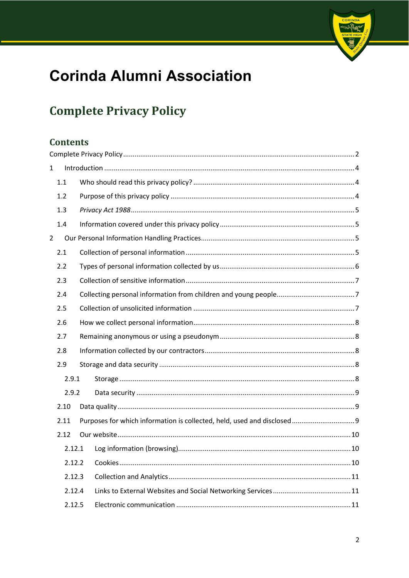# **Corinda Alumni Association**

# <span id="page-1-0"></span>**Complete Privacy Policy**

# **Contents**

| $\mathbf 1$    |        |  |                                                                         |  |
|----------------|--------|--|-------------------------------------------------------------------------|--|
|                | 1.1    |  |                                                                         |  |
|                | 1.2    |  |                                                                         |  |
|                | 1.3    |  |                                                                         |  |
|                | 1.4    |  |                                                                         |  |
| $\overline{2}$ |        |  |                                                                         |  |
|                | 2.1    |  |                                                                         |  |
|                | 2.2    |  |                                                                         |  |
|                | 2.3    |  |                                                                         |  |
|                | 2.4    |  |                                                                         |  |
|                | 2.5    |  |                                                                         |  |
|                | 2.6    |  |                                                                         |  |
|                | 2.7    |  |                                                                         |  |
|                | 2.8    |  |                                                                         |  |
|                | 2.9    |  |                                                                         |  |
|                | 2.9.1  |  |                                                                         |  |
|                | 2.9.2  |  |                                                                         |  |
|                | 2.10   |  |                                                                         |  |
|                | 2.11   |  | Purposes for which information is collected, held, used and disclosed 9 |  |
|                | 2.12   |  |                                                                         |  |
|                | 2.12.1 |  |                                                                         |  |
|                | 2.12.2 |  |                                                                         |  |
|                | 2.12.3 |  |                                                                         |  |
|                | 2.12.4 |  |                                                                         |  |
|                | 2.12.5 |  |                                                                         |  |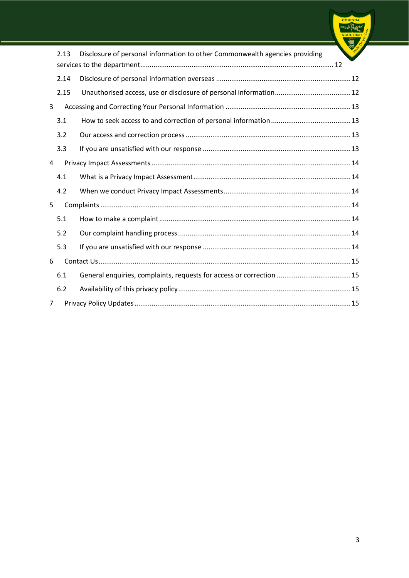|                |      |                                                                             | CORIND |
|----------------|------|-----------------------------------------------------------------------------|--------|
|                | 2.13 | Disclosure of personal information to other Commonwealth agencies providing |        |
|                | 2.14 |                                                                             |        |
|                | 2.15 |                                                                             |        |
| 3              |      |                                                                             |        |
|                | 3.1  |                                                                             |        |
|                | 3.2  |                                                                             |        |
|                | 3.3  |                                                                             |        |
| 4              |      |                                                                             |        |
|                | 4.1  |                                                                             |        |
|                | 4.2  |                                                                             |        |
| 5              |      |                                                                             |        |
|                | 5.1  |                                                                             |        |
|                | 5.2  |                                                                             |        |
|                | 5.3  |                                                                             |        |
| 6              |      |                                                                             |        |
|                | 6.1  | General enquiries, complaints, requests for access or correction  15        |        |
|                | 6.2  |                                                                             |        |
| $\overline{7}$ |      |                                                                             |        |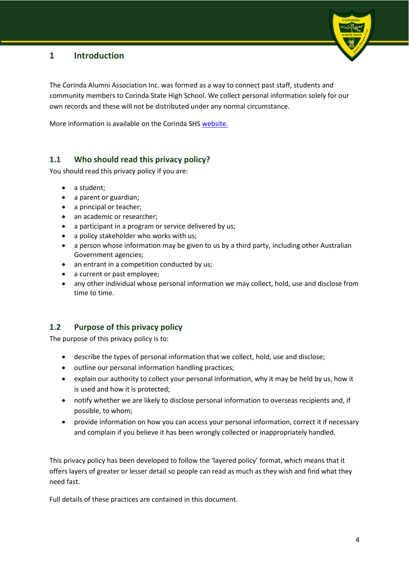# <span id="page-3-0"></span>**1 Introduction**

The Corinda Alumni Association Inc. was formed as a way to connect past staff, students and community members to Corinda State High School. We collect personal information solely for our own records and these will not be distributed under any normal circumstance.

More information is available on the Corinda SHS [website.](http://www.corindashs.eq.edu.au/)

# <span id="page-3-1"></span>**1.1 Who should read this privacy policy?**

You should read this privacy policy if you are:

- a student:
- a parent or guardian;
- a principal or teacher;
- an academic or researcher;
- a participant in a program or service delivered by us;
- a policy stakeholder who works with us;
- a person whose information may be given to us by a third party, including other Australian Government agencies;
- an entrant in a competition conducted by us;
- a current or past employee;
- any other individual whose personal information we may collect, hold, use and disclose from time to time.

#### <span id="page-3-2"></span>**1.2 Purpose of this privacy policy**

The purpose of this privacy policy is to:

- describe the types of personal information that we collect, hold, use and disclose;
- outline our personal information handling practices;
- explain our authority to collect your personal information, why it may be held by us, how it is used and how it is protected;
- notify whether we are likely to disclose personal information to overseas recipients and, if possible, to whom;
- provide information on how you can access your personal information, correct it if necessary and complain if you believe it has been wrongly collected or inappropriately handled.

This privacy policy has been developed to follow the 'layered policy' format, which means that it offers layers of greater or lesser detail so people can read as much as they wish and find what they need fast.

Full details of these practices are contained in this document.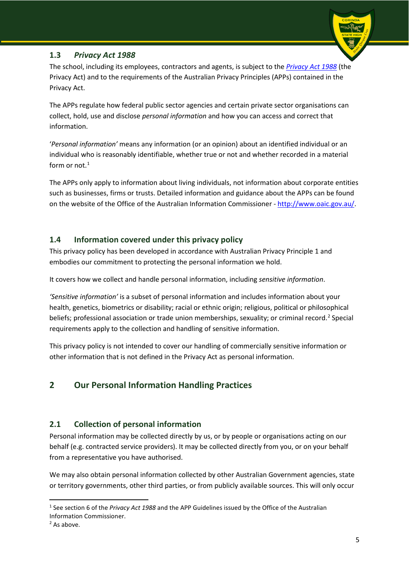# <span id="page-4-0"></span>**1.3** *Privacy Act 1988*



The APPs regulate how federal public sector agencies and certain private sector organisations can collect, hold, use and disclose *personal information* and how you can access and correct that information.

'*Personal information'* means any information (or an opinion) about an identified individual or an individual who is reasonably identifiable, whether true or not and whether recorded in a material form or not. [1](#page-4-4)

The APPs only apply to information about living individuals, not information about corporate entities such as businesses, firms or trusts. Detailed information and guidance about the APPs can be found on the website of the Office of the Australian Information Commissioner - [http://www.oaic.gov.au/.](http://www.oaic.gov.au/)

# <span id="page-4-1"></span>**1.4 Information covered under this privacy policy**

This privacy policy has been developed in accordance with Australian Privacy Principle 1 and embodies our commitment to protecting the personal information we hold.

It covers how we collect and handle personal information, including *sensitive information*.

*'Sensitive information'* is a subset of personal information and includes information about your health, genetics, biometrics or disability; racial or ethnic origin; religious, political or philosophical beliefs; professional association or trade union memberships, sexuality; or criminal record.<sup>[2](#page-4-5)</sup> Special requirements apply to the collection and handling of sensitive information.

This privacy policy is not intended to cover our handling of commercially sensitive information or other information that is not defined in the Privacy Act as personal information.

# <span id="page-4-2"></span>**2 Our Personal Information Handling Practices**

# <span id="page-4-3"></span>**2.1 Collection of personal information**

Personal information may be collected directly by us, or by people or organisations acting on our behalf (e.g. contracted service providers). It may be collected directly from you, or on your behalf from a representative you have authorised.

We may also obtain personal information collected by other Australian Government agencies, state or territory governments, other third parties, or from publicly available sources. This will only occur

<span id="page-4-4"></span> <sup>1</sup> See section 6 of the *Privacy Act 1988* and the APP Guidelines issued by the Office of the Australian Information Commissioner.

<span id="page-4-5"></span><sup>2</sup> As above.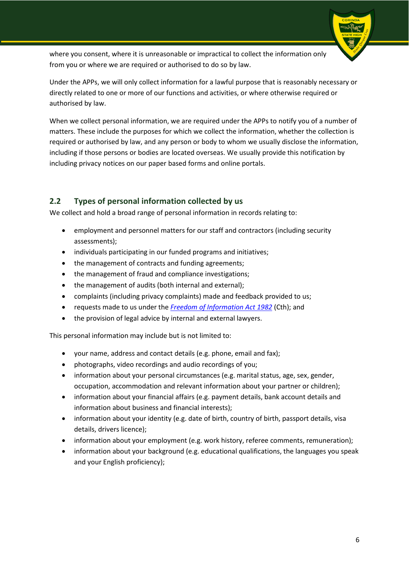where you consent, where it is unreasonable or impractical to collect the information only from you or where we are required or authorised to do so by law.

Under the APPs, we will only collect information for a lawful purpose that is reasonably necessary or directly related to one or more of our functions and activities, or where otherwise required or authorised by law.

When we collect personal information, we are required under the APPs to notify you of a number of matters. These include the purposes for which we collect the information, whether the collection is required or authorised by law, and any person or body to whom we usually disclose the information, including if those persons or bodies are located overseas. We usually provide this notification by including privacy notices on our paper based forms and online portals.

# <span id="page-5-0"></span>**2.2 Types of personal information collected by us**

We collect and hold a broad range of personal information in records relating to:

- employment and personnel matters for our staff and contractors (including security assessments);
- individuals participating in our funded programs and initiatives;
- the management of contracts and funding agreements;
- the management of fraud and compliance investigations;
- the management of audits (both internal and external);
- complaints (including privacy complaints) made and feedback provided to us;
- requests made to us under the *[Freedom of Information Act 1982](http://www.comlaw.gov.au/Series/C2004A02562)* (Cth); and
- the provision of legal advice by internal and external lawyers.

This personal information may include but is not limited to:

- your name, address and contact details (e.g. phone, email and fax);
- photographs, video recordings and audio recordings of you;
- information about your personal circumstances (e.g. marital status, age, sex, gender, occupation, accommodation and relevant information about your partner or children);
- information about your financial affairs (e.g. payment details, bank account details and information about business and financial interests);
- information about your identity (e.g. date of birth, country of birth, passport details, visa details, drivers licence);
- information about your employment (e.g. work history, referee comments, remuneration);
- information about your background (e.g. educational qualifications, the languages you speak and your English proficiency);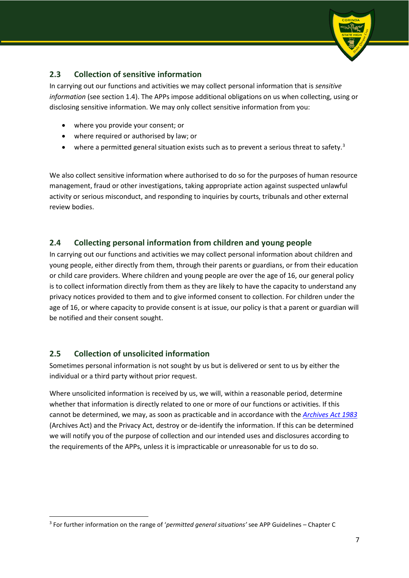# <span id="page-6-0"></span>**2.3 Collection of sensitive information**

In carrying out our functions and activities we may collect personal information that is *sensitive information* (see section 1.4). The APPs impose additional obligations on us when collecting, using or disclosing sensitive information. We may only collect sensitive information from you:

- where you provide your consent; or
- where required or authorised by law; or
- where a permitted general situation exists such as to prevent a serious threat to safety.<sup>[3](#page-6-3)</sup>

We also collect sensitive information where authorised to do so for the purposes of human resource management, fraud or other investigations, taking appropriate action against suspected unlawful activity or serious misconduct, and responding to inquiries by courts, tribunals and other external review bodies.

# <span id="page-6-1"></span>**2.4 Collecting personal information from children and young people**

In carrying out our functions and activities we may collect personal information about children and young people, either directly from them, through their parents or guardians, or from their education or child care providers. Where children and young people are over the age of 16, our general policy is to collect information directly from them as they are likely to have the capacity to understand any privacy notices provided to them and to give informed consent to collection. For children under the age of 16, or where capacity to provide consent is at issue, our policy is that a parent or guardian will be notified and their consent sought.

# <span id="page-6-2"></span>**2.5 Collection of unsolicited information**

Sometimes personal information is not sought by us but is delivered or sent to us by either the individual or a third party without prior request.

Where unsolicited information is received by us, we will, within a reasonable period, determine whether that information is directly related to one or more of our functions or activities. If this cannot be determined, we may, as soon as practicable and in accordance with the *[Archives Act 1983](https://www.legislation.gov.au/Series/C2004A02796)* (Archives Act) and the Privacy Act, destroy or de-identify the information. If this can be determined we will notify you of the purpose of collection and our intended uses and disclosures according to the requirements of the APPs, unless it is impracticable or unreasonable for us to do so.

<span id="page-6-3"></span> <sup>3</sup> For further information on the range of '*permitted general situations'* see APP Guidelines – Chapter C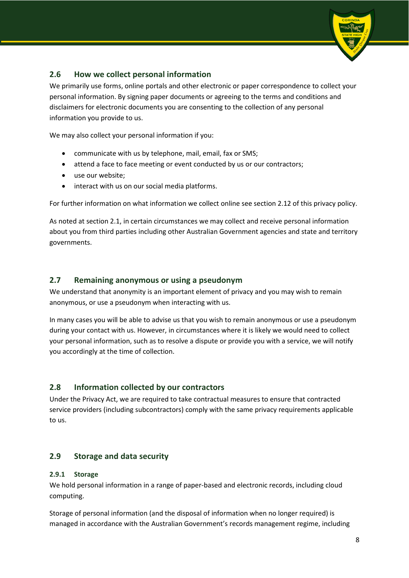# <span id="page-7-0"></span>**2.6 How we collect personal information**

We primarily use forms, online portals and other electronic or paper correspondence to collect your personal information. By signing paper documents or agreeing to the terms and conditions and disclaimers for electronic documents you are consenting to the collection of any personal information you provide to us.

We may also collect your personal information if you:

- communicate with us by telephone, mail, email, fax or SMS;
- attend a face to face meeting or event conducted by us or our contractors;
- use our website;
- interact with us on our social media platforms.

For further information on what information we collect online see section 2.12 of this privacy policy.

As noted at section 2.1, in certain circumstances we may collect and receive personal information about you from third parties including other Australian Government agencies and state and territory governments.

# <span id="page-7-1"></span>**2.7 Remaining anonymous or using a pseudonym**

We understand that anonymity is an important element of privacy and you may wish to remain anonymous, or use a pseudonym when interacting with us.

In many cases you will be able to advise us that you wish to remain anonymous or use a pseudonym during your contact with us. However, in circumstances where it is likely we would need to collect your personal information, such as to resolve a dispute or provide you with a service, we will notify you accordingly at the time of collection.

# <span id="page-7-2"></span>**2.8 Information collected by our contractors**

Under the Privacy Act, we are required to take contractual measures to ensure that contracted service providers (including subcontractors) comply with the same privacy requirements applicable to us.

#### <span id="page-7-3"></span>**2.9 Storage and data security**

#### <span id="page-7-4"></span>**2.9.1 Storage**

We hold personal information in a range of paper-based and electronic records, including cloud computing.

Storage of personal information (and the disposal of information when no longer required) is managed in accordance with the Australian Government's records management regime, including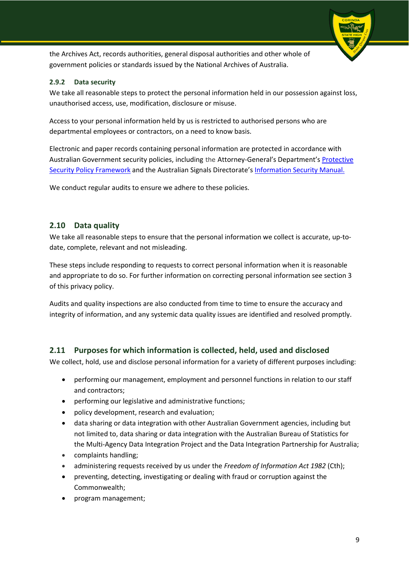

#### <span id="page-8-0"></span>**2.9.2 Data security**

We take all reasonable steps to protect the personal information held in our possession against loss, unauthorised access, use, modification, disclosure or misuse.

Access to your personal information held by us is restricted to authorised persons who are departmental employees or contractors, on a need to know basis.

Electronic and paper records containing personal information are protected in accordance with Australian Government security policies, including the Attorney-General's Department'[s Protective](http://www.protectivesecurity.gov.au/Pages/default.aspx)  [Security Policy Framework](http://www.protectivesecurity.gov.au/Pages/default.aspx) and the Australian Signals Directorate's Information [Security Manual.](http://www.dsd.gov.au/infosec/ism/index.htm)

We conduct regular audits to ensure we adhere to these policies.

#### <span id="page-8-1"></span>**2.10 Data quality**

We take all reasonable steps to ensure that the personal information we collect is accurate, up-todate, complete, relevant and not misleading.

These steps include responding to requests to correct personal information when it is reasonable and appropriate to do so. For further information on correcting personal information see section 3 of this privacy policy.

Audits and quality inspections are also conducted from time to time to ensure the accuracy and integrity of information, and any systemic data quality issues are identified and resolved promptly.

#### <span id="page-8-2"></span>**2.11 Purposes for which information is collected, held, used and disclosed**

We collect, hold, use and disclose personal information for a variety of different purposes including:

- performing our management, employment and personnel functions in relation to our staff and contractors;
- performing our legislative and administrative functions;
- policy development, research and evaluation;
- data sharing or data integration with other Australian Government agencies, including but not limited to, data sharing or data integration with the Australian Bureau of Statistics for the Multi-Agency Data Integration Project and the Data Integration Partnership for Australia;
- complaints handling;
- administering requests received by us under the *Freedom of Information Act 1982* (Cth);
- preventing, detecting, investigating or dealing with fraud or corruption against the Commonwealth;
- program management;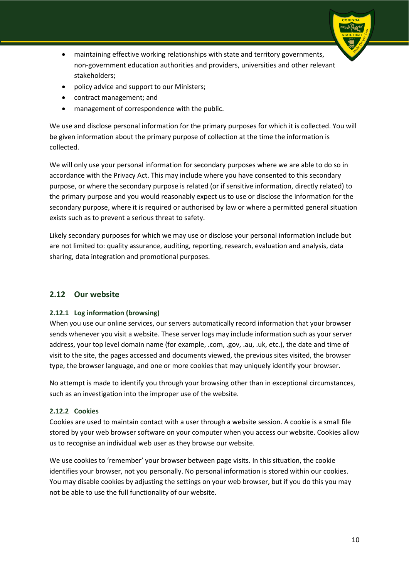- maintaining effective working relationships with state and territory governments, non-government education authorities and providers, universities and other relevant stakeholders;
- policy advice and support to our Ministers;
- contract management; and
- management of correspondence with the public.

We use and disclose personal information for the primary purposes for which it is collected. You will be given information about the primary purpose of collection at the time the information is collected.

We will only use your personal information for secondary purposes where we are able to do so in accordance with the Privacy Act. This may include where you have consented to this secondary purpose, or where the secondary purpose is related (or if sensitive information, directly related) to the primary purpose and you would reasonably expect us to use or disclose the information for the secondary purpose, where it is required or authorised by law or where a permitted general situation exists such as to prevent a serious threat to safety.

Likely secondary purposes for which we may use or disclose your personal information include but are not limited to: quality assurance, auditing, reporting, research, evaluation and analysis, data sharing, data integration and promotional purposes.

#### <span id="page-9-0"></span>**2.12 Our website**

#### <span id="page-9-1"></span>**2.12.1 Log information (browsing)**

When you use our online services, our servers automatically record information that your browser sends whenever you visit a website. These server logs may include information such as your server address, your top level domain name (for example, .com, .gov, .au, .uk, etc.), the date and time of visit to the site, the pages accessed and documents viewed, the previous sites visited, the browser type, the browser language, and one or more cookies that may uniquely identify your browser.

No attempt is made to identify you through your browsing other than in exceptional circumstances, such as an investigation into the improper use of the website.

#### <span id="page-9-2"></span>**2.12.2 Cookies**

Cookies are used to maintain contact with a user through a website session. A cookie is a small file stored by your web browser software on your computer when you access our website. Cookies allow us to recognise an individual web user as they browse our website.

We use cookies to 'remember' your browser between page visits. In this situation, the cookie identifies your browser, not you personally. No personal information is stored within our cookies. You may disable cookies by adjusting the settings on your web browser, but if you do this you may not be able to use the full functionality of our website.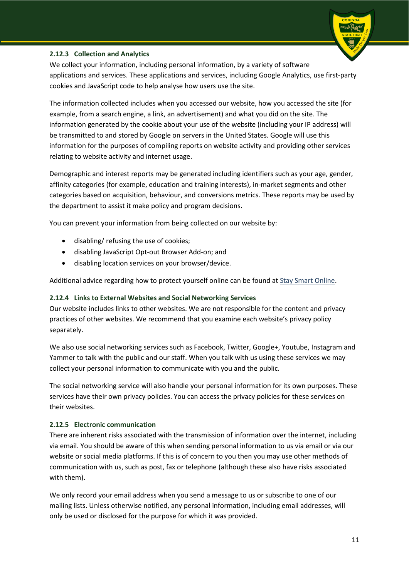#### <span id="page-10-0"></span>**2.12.3 Collection and Analytics**

We collect your information, including personal information, by a variety of software applications and services. These applications and services, including Google Analytics, use first-party cookies and JavaScript code to help analyse how users use the site.

The information collected includes when you accessed our website, how you accessed the site (for example, from a search engine, a link, an advertisement) and what you did on the site. The information generated by the cookie about your use of the website (including your IP address) will be transmitted to and stored by Google on servers in the United States. Google will use this information for the purposes of compiling reports on website activity and providing other services relating to website activity and internet usage.

Demographic and interest reports may be generated including identifiers such as your age, gender, affinity categories (for example, education and training interests), in-market segments and other categories based on acquisition, behaviour, and conversions metrics. These reports may be used by the department to assist it make policy and program decisions.

You can prevent your information from being collected on our website by:

- disabling/ refusing the use of cookies;
- disabling JavaScript Opt-out Browser Add-on; and
- disabling location services on your browser/device.

Additional advice regarding how to protect yourself online can be found a[t Stay Smart Online.](http://www.staysmartonline.gov.au/)

#### <span id="page-10-1"></span>**2.12.4 Links to External Websites and Social Networking Services**

Our website includes links to other websites. We are not responsible for the content and privacy practices of other websites. We recommend that you examine each website's privacy policy separately.

We also use social networking services such as Facebook, Twitter, Google+, Youtube, Instagram and Yammer to talk with the public and our staff. When you talk with us using these services we may collect your personal information to communicate with you and the public.

The social networking service will also handle your personal information for its own purposes. These services have their own privacy policies. You can access the privacy policies for these services on their websites.

#### <span id="page-10-2"></span>**2.12.5 Electronic communication**

There are inherent risks associated with the transmission of information over the internet, including via email. You should be aware of this when sending personal information to us via email or via our website or social media platforms. If this is of concern to you then you may use other methods of communication with us, such as post, fax or telephone (although these also have risks associated with them).

We only record your email address when you send a message to us or subscribe to one of our mailing lists. Unless otherwise notified, any personal information, including email addresses, will only be used or disclosed for the purpose for which it was provided.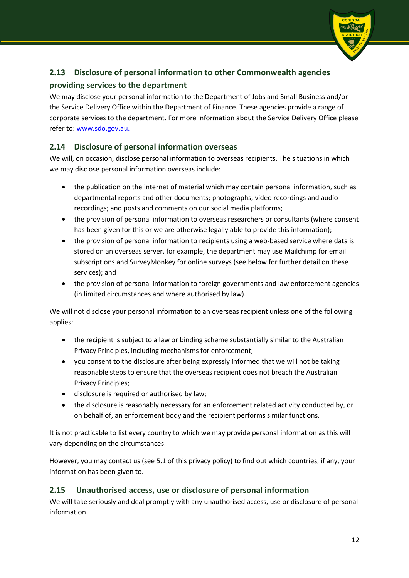# <span id="page-11-0"></span>**2.13 Disclosure of personal information to other Commonwealth agencies providing services to the department**

We may disclose your personal information to the Department of Jobs and Small Business and/or the Service Delivery Office within the Department of Finance. These agencies provide a range of corporate services to the department. For more information about the Service Delivery Office please refer to: [www.sdo.gov.au.](http://ssc.gov.au/)

# <span id="page-11-1"></span>**2.14 Disclosure of personal information overseas**

We will, on occasion, disclose personal information to overseas recipients. The situations in which we may disclose personal information overseas include:

- the publication on the internet of material which may contain personal information, such as departmental reports and other documents; photographs, video recordings and audio recordings; and posts and comments on our social media platforms;
- the provision of personal information to overseas researchers or consultants (where consent has been given for this or we are otherwise legally able to provide this information);
- the provision of personal information to recipients using a web-based service where data is stored on an overseas server, for example, the department may use Mailchimp for email subscriptions and SurveyMonkey for online surveys (see below for further detail on these services); and
- the provision of personal information to foreign governments and law enforcement agencies (in limited circumstances and where authorised by law).

We will not disclose your personal information to an overseas recipient unless one of the following applies:

- the recipient is subject to a law or binding scheme substantially similar to the Australian Privacy Principles, including mechanisms for enforcement;
- you consent to the disclosure after being expressly informed that we will not be taking reasonable steps to ensure that the overseas recipient does not breach the Australian Privacy Principles;
- disclosure is required or authorised by law;
- the disclosure is reasonably necessary for an enforcement related activity conducted by, or on behalf of, an enforcement body and the recipient performs similar functions.

It is not practicable to list every country to which we may provide personal information as this will vary depending on the circumstances.

However, you may contact us (see 5.1 of this privacy policy) to find out which countries, if any, your information has been given to.

# <span id="page-11-2"></span>**2.15 Unauthorised access, use or disclosure of personal information**

We will take seriously and deal promptly with any unauthorised access, use or disclosure of personal information.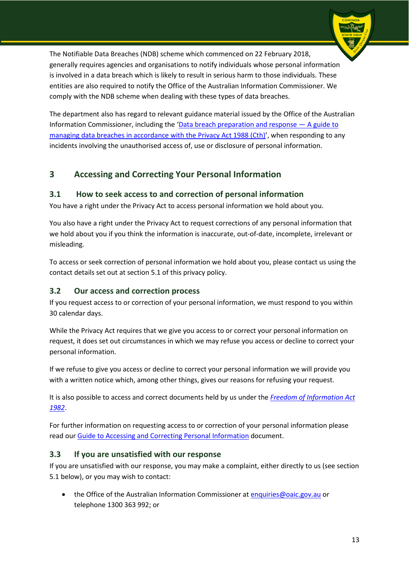The Notifiable Data Breaches (NDB) scheme which commenced on 22 February 2018, generally requires agencies and organisations to notify individuals whose personal information is involved in a data breach which is likely to result in serious harm to those individuals. These entities are also required to notify the Office of the Australian Information Commissioner. We comply with the NDB scheme when dealing with these types of data breaches.

The department also has regard to relevant guidance material issued by the Office of the Australian Information Commissioner, including the ['Data breach preparation and response —](https://www.oaic.gov.au/agencies-and-organisations/guides/data-breach-preparation-and-response) A guide to [managing data breaches in accordance with the Privacy Act 1988 \(Cth\)'](https://www.oaic.gov.au/agencies-and-organisations/guides/data-breach-preparation-and-response), when responding to any incidents involving the unauthorised access of, use or disclosure of personal information.

# <span id="page-12-0"></span>**3 Accessing and Correcting Your Personal Information**

# <span id="page-12-1"></span>**3.1 How to seek access to and correction of personal information**

You have a right under the Privacy Act to access personal information we hold about you.

You also have a right under the Privacy Act to request corrections of any personal information that we hold about you if you think the information is inaccurate, out-of-date, incomplete, irrelevant or misleading.

To access or seek correction of personal information we hold about you, please contact us using the contact details set out at section 5.1 of this privacy policy.

#### <span id="page-12-2"></span>**3.2 Our access and correction process**

If you request access to or correction of your personal information, we must respond to you within 30 calendar days.

While the Privacy Act requires that we give you access to or correct your personal information on request, it does set out circumstances in which we may refuse you access or decline to correct your personal information.

If we refuse to give you access or decline to correct your personal information we will provide you with a written notice which, among other things, gives our reasons for refusing your request.

It is also possible to access and correct documents held by us under the *[Freedom of Information Act](http://www.comlaw.gov.au/Series/C2004A02562)  [1982](http://www.comlaw.gov.au/Series/C2004A02562)*.

For further information on requesting access to or correction of your personal information please read ou[r Guide to Accessing and Correcting Personal Information](http://docs.education.gov.au/node/35453) document.

#### <span id="page-12-3"></span>**3.3 If you are unsatisfied with our response**

If you are unsatisfied with our response, you may make a complaint, either directly to us (see section 5.1 below), or you may wish to contact:

• the Office of the Australian Information Commissioner at [enquiries@oaic.gov.au](mailto:enquiries@oaic.gov.au) or telephone 1300 363 992; or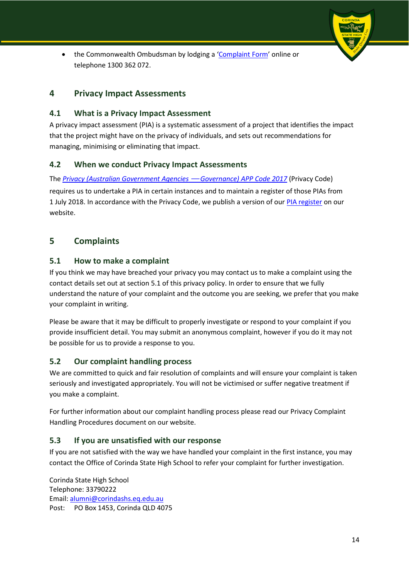• the Commonwealth Ombudsman by lodging a ['Complaint Form'](https://forms.business.gov.au/smartforms/servlet/SmartForm.html?formCode=oco-complaint-form) online or telephone 1300 362 072.

# <span id="page-13-0"></span>**4 Privacy Impact Assessments**

#### <span id="page-13-1"></span>**4.1 What is a Privacy Impact Assessment**

A privacy impact assessment (PIA) is a systematic assessment of a project that identifies the impact that the project might have on the privacy of individuals, and sets out recommendations for managing, minimising or eliminating that impact.

#### <span id="page-13-2"></span>**4.2 When we conduct Privacy Impact Assessments**

The *[Privacy \(Australian Government Agencies](https://www.legislation.gov.au/Series/F2017L01396)* — *Governance) APP Code 2017* (Privacy Code) requires us to undertake a PIA in certain instances and to maintain a register of those PIAs from 1 July 2018. In accordance with the Privacy Code, we publish a version of our [PIA register](https://docs.education.gov.au/collections/privacy-impact-assessment-register) on our website.

# <span id="page-13-3"></span>**5 Complaints**

#### <span id="page-13-4"></span>**5.1 How to make a complaint**

If you think we may have breached your privacy you may contact us to make a complaint using the contact details set out at section 5.1 of this privacy policy. In order to ensure that we fully understand the nature of your complaint and the outcome you are seeking, we prefer that you make your complaint in writing.

Please be aware that it may be difficult to properly investigate or respond to your complaint if you provide insufficient detail. You may submit an anonymous complaint, however if you do it may not be possible for us to provide a response to you.

#### <span id="page-13-5"></span>**5.2 Our complaint handling process**

We are committed to quick and fair resolution of complaints and will ensure your complaint is taken seriously and investigated appropriately. You will not be victimised or suffer negative treatment if you make a complaint.

For further information about our complaint handling process please read our Privacy Complaint Handling Procedures document on our website.

#### <span id="page-13-6"></span>**5.3 If you are unsatisfied with our response**

If you are not satisfied with the way we have handled your complaint in the first instance, you may contact the Office of Corinda State High School to refer your complaint for further investigation.

Corinda State High School Telephone: 33790222 Email: [alumni@corindashs.eq.edu.au](mailto:alumni@corindashs.eq.edu.au) Post: PO Box 1453, Corinda QLD 4075